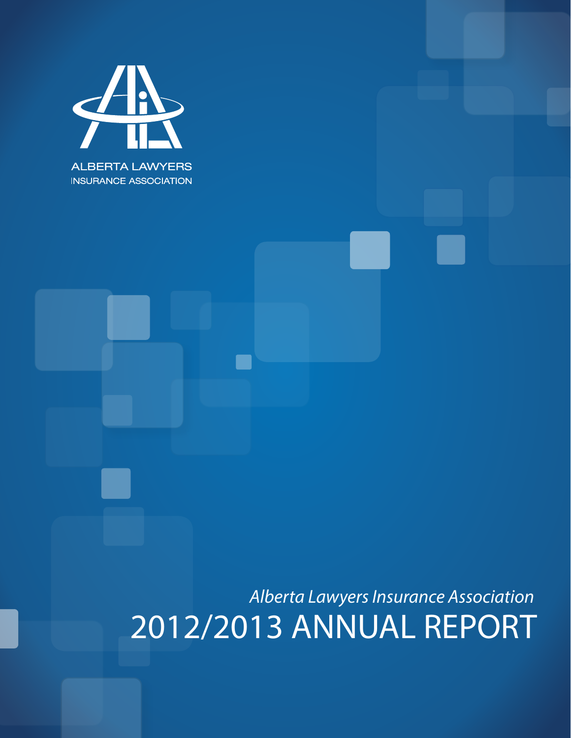

2012/2013 ANNUAL REPORT *Alberta Lawyers Insurance Association*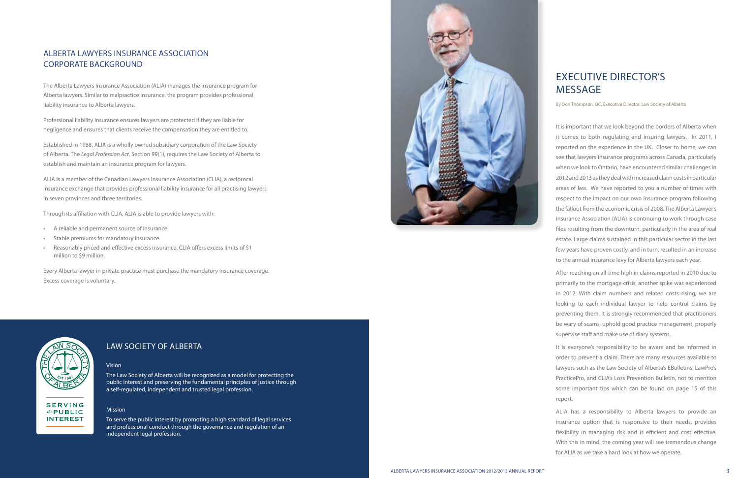### ALBERTA LAWYERS INSURANCE ASSOCIATIC Corporate Backgroun d

The Alberta Lawyers Insurance Association (ALIA) manages the insurance program for Alberta lawyers. Similar to malpractice insurance, the program provides professional liability insurance to Alberta lawyers.

Established in 1988, ALIA is a wholly owned subsidiary corporation of the Law Society of Alberta. The Legal Profession Act, Section 99(1), requires the Law Society of Alberta to establish and maintain an insurance program for lawyers.

Professional liability insurance ensures lawyers are protected if they are liable for negligence and ensures that clients receive the compensation they are entitled to.

ALIA is a member of the Canadian Lawyers Insurance Association (CLIA), a reciprocal insurance exchange that provides professional liability insurance for all practising lawyers in seven provinces and three territories.

Through its affiliation with CLIA, ALIA is able to provide lawyers with:

- 
- 
- A reliable and permanent source of insurance<br>• Stable premiums for mandatory insurance<br>• Reasonably priced and effective excess insurance. CLIA offers excess limits of \$1 million to \$9 million.

Every Alberta lawyer in private practice must purchase the mandatory insurance coverage. Excess coverage is voluntary.



**SERVING** the  $PUBLIC$ **INTEREST** 

## LAW SOCIETY OF ALBE

By Don Thompson, Q C, Executive Director, Law Society of Alberta

It is important that we look beyond the borders of Alberta when it comes to both regulating and insuring lawyers. In 2011, I reported on the experience in the U K. Closer to home, we can see that lawyers insurance programs across Canada, particularly when we look to Ontario, have encountered similar challenges in 2012 and 2013 as they deal with increased claim costs in particular areas of law. We have reported to you a number of times with respect to the impact on our own insurance program following the fallout from the economic crisis of 2008. The Alberta Lawyer's Insurance Association (ALIA) is continuing to work through case files resulting from the downturn, particularly in the area of real estate. Large claims sustained in this particular sector in the last few years have proven costly, and in turn, resulted in an increase to the annual insurance levy for Alberta lawyers each year.

After reaching an all-time high in claims reported in 2010 due to primarily to the mortgage crisis, another spike was experienced in 2012. With claim numbers and related costs rising, we are looking to each individual lawyer to help control claims by preventing them. It is strongly recommended that practitioners be wary of scams, uphold good practice management, properly supervise staff and make use of diary systems. It is everyone's responsibility to be aware and be informed in

order to prevent a claim. There are many resources available to lawyers such as the Law Society of Alberta's E Bulletins, LawPro's PracticePro, and CLIA's Loss Prevention Bulletin, not to mention some important tips which can be found on page 15 of this report.

AL IA has a responsibility to Alberta lawyers to provide an insurance option that is responsive to their needs, provides flexibility in managing risk and is efficient and cost effective. With this in mind, the coming year will see tremendous change for AL IA as we take a hard look at how we operate.

#### Vision

The Law Society of Alberta will be recognized as a model for protecting the public interest and preserving the fundamental principles of justice through a self-regulated, independent and trusted legal profession.

#### Mission

To serve the public interest by promoting a high standard of legal services and professional conduct through the governance and regulation of an independent legal profession.

# EXECUTIVE DIRECTOR'S MESSAGE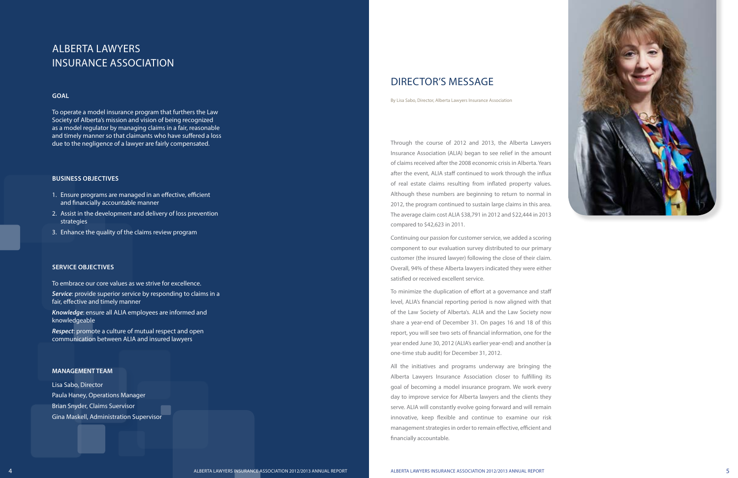

# A l berta L awyers INSURANCE ASSOCIATIC

#### **Goal**

To operate a model insurance program that furthers the Law Society of Alberta's mission and vision of being recognized as a model regulator by managing claims in a fair, reasonable and timely manner so that claimants who have suffered a loss due to the negligence of a lawyer are fairly compensated.

#### **Business Objectives**

- 1. Ensure programs are managed in an effective, efficient and financially accountable manner
- 2. Assist in the development and delivery of loss prevention strategies
- 3. Enhance the quality of the claims review program

Through the course of 2012 and 2013, the Alberta Lawyers Insurance Association (ALIA) began to see relief in the amount of claims received after the 2008 economic crisis in Alberta. Years after the event, AL IA staff continued to work through the influx of real estate claims resulting from inflated property values. Although these numbers are beginning to return to normal in 2012, the program continued to sustain large claims in this area. The average claim cost AL IA \$38,791 in 2012 and \$22,444 in 2013 compared to \$42,623 in 2011.<br>Continuing our passion for customer service, we added a scoring

#### **Service Objectives**

To embrace our core values as we strive for excellence.

*Service*: provide superior service by responding to claims in a fair, effective and timely manner

*Knowledge*: ensure all AL IA employees are informed and knowledgeable

*Respect*: promote a culture of mutual respect and open communication between AL IA and insured lawyers

#### **MANAGEMENT TEAM**

Lisa Sabo, Director Paula Haney, Operations Manager Brian Snyder, Claims Suervisor Gina Maskell, Administration Supervisor

## DIRECTOR'S MESSAGE

By Lisa Sabo, Director, Alberta Lawyers Insurance Association

component to our evaluation survey distributed to our primary customer (the insured lawyer) following the close of their claim. Overall, 94% of these Alberta lawyers indicated they were either satisfied or received excellent service.

To minimize the duplication of effort at a governance and staff level, AL IA's financial reporting period is now aligned with that of the Law Society of Alberta's. AL IA and the Law Society now share a year-end of December 31. On pages 16 and 18 of this report, you will see two sets of financial information, one for the year ended June 30, 2012 (AL IA's earlier year-end) and another (a one-time stub audit) for December 31, 2012.

All the initiatives and programs underway are bringing the Alberta Lawyers Insurance Association closer to fulfilling its goal of becoming a model insurance program. We work every day to improve service for Alberta lawyers and the clients they serve. AL IA will constantly evolve going forward and will remain innovative, keep flexible and continue to examine our risk management strategies in order to remain effective, efficient and financially accountable.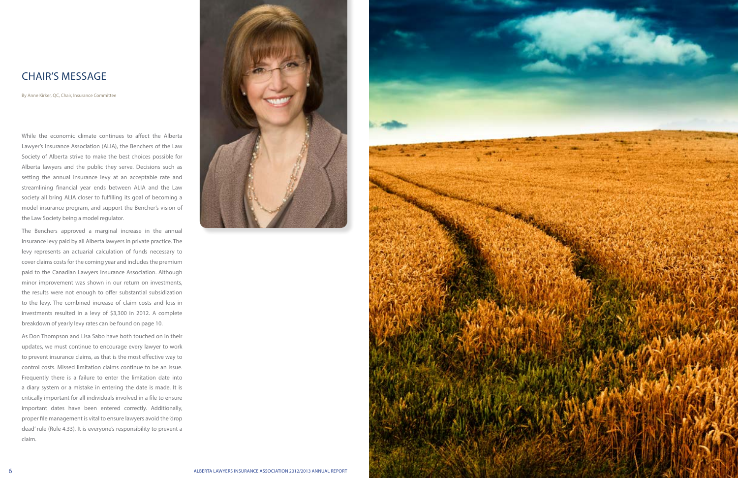

While the economic climate continues to affect the Alberta Lawyer's Insurance Association (AL IA), the Benchers of the Law Society of Alberta strive to make the best choices possible for Alberta lawyers and the public they serve. Decisions such as setting the annual insurance levy at an acceptable rate and streamlining financial year ends between AL IA and the Law society all bring ALIA closer to fulfilling its goal of becoming a model insurance program, and support the Bencher's vision of the Law Society being a model regulator.

The Benchers approved a marginal increase in the annual insurance levy paid by all Alberta lawyers in private practice. The levy represents an actuarial calculation of funds necessary to cover claims costs for the coming year and includes the premium paid to the Canadian Lawyers Insurance Association. Although minor improvement was shown in our return on investments, the results were not enough to offer substantial subsidization to the levy. The combined increase of claim costs and loss in investments resulted in a levy of \$3,300 in 2012. A complete breakdown of yearly levy rates can be found on page 10.

**CH**<br>By Anne<br>While<br>Lawye<br>Societ Albert<br>setting<br>stream societ<br>mode the La<br>The Einsura<br>levy r cover<br>paid t minor<br>the re to the invest<br>break<br>As Do<br>updat<br>to pre<br>control pread in the re to the invest<br>break<br>to pre<br>control pread As Don Thompson and Lisa Sabo have both touched on in their updates, we must continue to encourage every lawyer to work to prevent insurance claims, as that is the most effective way to control costs. Missed limitation claims continue to be an issue. Frequently there is a failure to enter the limitation date into a diary system or a mistake in entering the date is made. It is critically important for all individuals involved in a file to ensure important dates have been entered correctly. Additionally, proper file management is vital to ensure lawyers avoid the 'drop dead' rule (Rule 4.33). It is everyone's responsibility to prevent a claim.



## IR'S MESSAGE

By Anne Kirker, Q C, Chair, Insurance Committee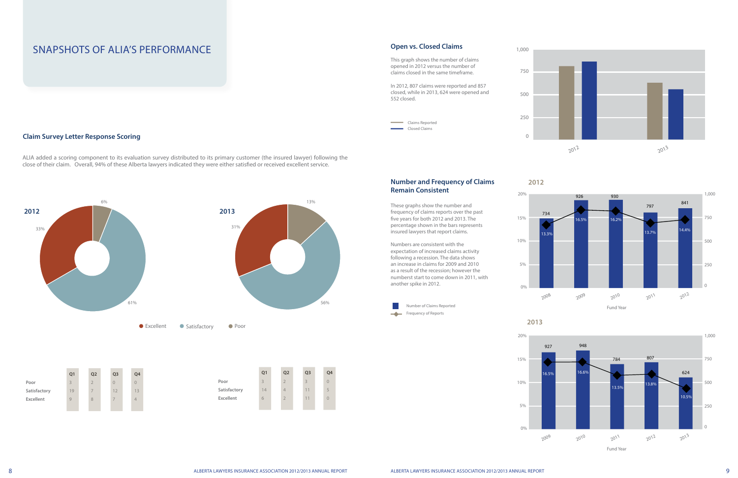**Number and Frequency of Claims** 

**Remain Consistent**

percentage shown in the bars represents

expectation of increased claims activity following a recession. The data shows an increase in claims for 2009 and 2010 as a result of the recession; however the numberst start to come down in 2011, with





**2013**

0%

5%

10%

# 15%





1,000





#### **Open vs. Closed Claims**

| This graph shows the number of claims<br>opened in 2012 versus the number of            | 750 |  |
|-----------------------------------------------------------------------------------------|-----|--|
| claims closed in the same timeframe.                                                    |     |  |
| In 2012, 807 claims were reported and 857<br>closed, while in 2013, 624 were opened and |     |  |
| 552 closed.                                                                             |     |  |
|                                                                                         |     |  |
| Claims Reported                                                                         | 250 |  |
| Closed Claims                                                                           |     |  |
|                                                                                         |     |  |

## Snapshots of ALIA's Performance

ALIA added a scoring component to its evaluation survey distributed to its primary customer (the insured lawyer) following the close of their claim. Overall, 94% of these Alberta lawyers indicated they were either satisfied or received excellent service.

#### **Claim Survey Letter Response Scoring**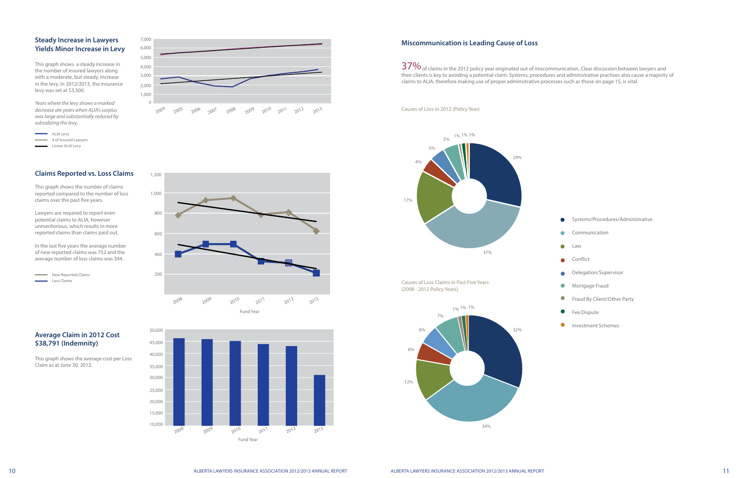#### **Miscommunication is Leading Cause of Loss**

 $37\%$  of claims in the 2012 policy year originated out of miscommunication. Clear discussion between lawyers and their clients is key to avoiding a potential claim. Systems, procedures and administrative practises also cause a majority of claims to ALIA, therefore making use of proper administrative processes such as those on page 15, is vital.

- Systems/Procedures/Administrative
- Communication  $\bullet$
- **C** Law
- Conflict  $\bullet$
- Delegation/Supervisor  $\bullet$
- $\bullet$ Mortgage Fraud
- $\bullet$ Fraud By Client/Other Party
- $\bullet$ Fee Dispute
- $\bullet$ Investment Schemes

Causes of Loss Claims in Past Five Years (2008 - 2012 Policy Years)



Causes of Loss in 2012 (Policy Year)



#### **Claims Reported vs. Loss Claims**

This graph shows the number of claims reported compared to the number of loss claims over the past five years.

Lawyers are required to report even potential claims to ALIA, however unmeritorious, which results in more reported claims than claims paid out.

In the last five years the average number of new reported claims was 752 and the average number of loss claims was 344.

New Reported Claims Loss Claims



This graph shows the average cost per Loss Claim as at June 30, 2012.





#### **Steady Increase in Lawyers Yields Minor Increase in Levy**

This graph shows a steady increase in the number of insured lawyers along with a moderate, but steady, increase in the levy. In 2012/2013, the insurance levy was set at \$3,300.

*Years where the levy shows a marked decrease are years when ALIA's surplus was large and substantially reduced by subsidizing the levy.*



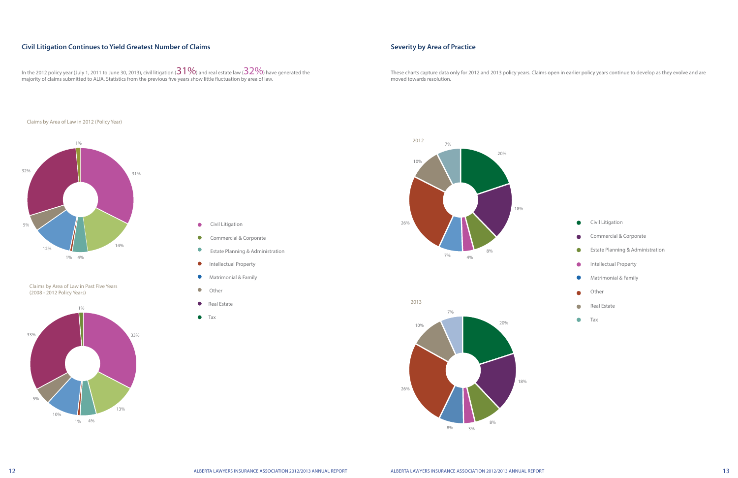#### **Severity by Area of Practice**

 $\bullet$ Tax

These charts capture data only for 2012 and 2013 policy years. Claims open in earlier policy years continue to develop as they evolve and are moved towards resolution.

| Civil Litigation                 |
|----------------------------------|
| Commercial & Corporate           |
| Estate Planning & Administration |
| Intellectual Property            |
| Matrimonial & Family             |
| Other                            |
| Real Estate                      |

- Civil Litigation  $\bullet$
- $\bullet$ Commercial & Corporate
- $\bullet$ Estate Planning & Administration
- $\bullet$ Intellectual Property
- $\bullet$ Matrimonial & Family
- $\bullet$ Other
- **Cal Estate**
- **•** Tax





#### **Civil Litigation Continues to Yield Greatest Number of Claims**







Claims by Area of Law in Past Five Years (2008 - 2012 Policy Years)

#### Claims by Area of Law in 2012 (Policy Year)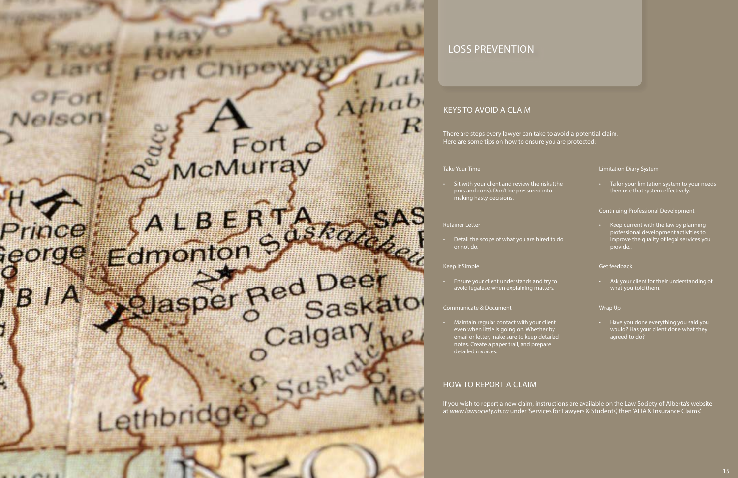# McMurray

 $OF$ ort

Nelso

Prince

ieorge

闣

741

# 

# Jasper Red Deer Calgary W

### how to report a claim

If you wish to report a new claim, instructions are available on the Law Society of Alberta's website at *www.lawsociety.ab.ca* under 'Services for Lawyers & Students', then 'ALIA & Insurance Claims'.

• Maintain regular contact with your even when little is going on. Wheth email or letter, make sure to keep d notes. Create a paper trail, and prep detailed invoices.

#### Communicate & Document

• Detail the scope of what you are hir or not do.

• Sit with your client and review the r pros and cons). Don't be pressured making hasty decisions.

|                                   |             | <b>Limitation Diary System</b>                                                                                                          |
|-----------------------------------|-------------|-----------------------------------------------------------------------------------------------------------------------------------------|
| isks (the<br>nto                  | $\bullet$ . | Tailor your limitation system to your needs<br>then use that system effectively.                                                        |
|                                   |             | <b>Continuing Professional Development</b>                                                                                              |
| ed to do                          | $\bullet$   | Keep current with the law by planning<br>professional development activities to<br>improve the quality of legal services you<br>provide |
|                                   |             | <b>Get feedback</b>                                                                                                                     |
| try to<br>ters.                   | $\bullet$ . | Ask your client for their understanding of<br>what you told them.                                                                       |
|                                   |             | Wrap Up                                                                                                                                 |
| client<br>er by<br>etailed<br>are | $\bullet$   | Have you done everything you said you<br>would? Has your client done what they<br>agreed to do?                                         |

#### Retainer Letter

#### Keep it Simple

• Ensure your client understands and avoid legalese when explaining ma

#### Take Your Time

 $a h$ 

к

Athab

## Keys to avoid a claim

There are steps every lawyer can take to avoid a potential claim. Here are some tips on how to ensure you are protected:

# Loss prevention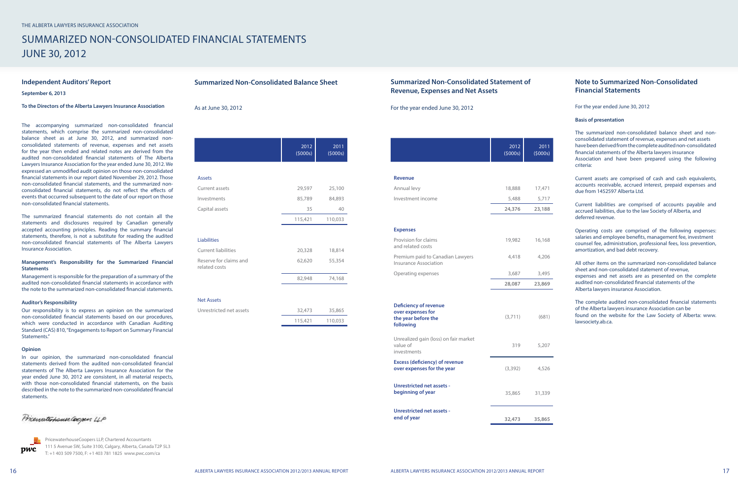# Summarized Non-Consolidated Financial Statements June 30, 2012

|                                         | 2012<br>(5000s) | 2011<br>(5000s) |
|-----------------------------------------|-----------------|-----------------|
|                                         |                 |                 |
| <b>Assets</b>                           |                 |                 |
| Current assets                          | 29,597          | 25,100          |
| Investments                             | 85,789          | 84,893          |
| Capital assets                          | 35              | 40              |
|                                         | 115,421         | 110,033         |
|                                         |                 |                 |
| <b>Liabilities</b>                      |                 |                 |
| <b>Current liabilities</b>              | 20,328          | 18,814          |
| Reserve for claims and<br>related costs | 62,620          | 55,354          |
|                                         | 82,948          | 74,168          |
| <b>Net Assets</b>                       |                 |                 |
| Unrestricted net assets                 | 32,473          | 35,865          |
|                                         | 115,421         | 110,033         |

#### **Summarized Non-Consolidated Balance Sheet**

As at June 30, 2012

#### **Summarized Non-Consolidated Statement of Revenue, Expenses and Net Assets**



|                                                                                       | 2012<br>(5000s) | 2011<br>(5000s) |
|---------------------------------------------------------------------------------------|-----------------|-----------------|
|                                                                                       |                 |                 |
| <b>Revenue</b>                                                                        |                 |                 |
| Annual levy                                                                           | 18,888          | 17,471          |
| Investment income                                                                     | 5,488           | 5,717           |
|                                                                                       | 24,376          | 23,188          |
| <b>Expenses</b>                                                                       |                 |                 |
| Provision for claims<br>and related costs                                             | 19,982          | 16,168          |
| Premium paid to Canadian Lawyers<br><b>Insurance Association</b>                      | 4,418           | 4,206           |
| Operating expenses                                                                    | 3,687           | 3,495           |
|                                                                                       | 28,087          | 23,869          |
| <b>Deficiency of revenue</b><br>over expenses for<br>the year before the<br>following | (3,711)         | (681)           |
| Unrealized gain (loss) on fair market<br>value of<br>investments                      | 319             | 5,207           |
| <b>Excess (deficiency) of revenue</b><br>over expenses for the year                   | (3,392)         | 4,526           |
| <b>Unrestricted net assets -</b><br>beginning of year                                 | 35,865          | 31,339          |
| Unrestricted net assets -<br>end of year                                              | 32,473          | 35,865          |

#### **Independent Auditors' Report**

**September 6, 2013**

#### **To the Directors of the Alberta Lawyers Insurance Association**

The accompanying summarized non-consolidated financial statements, which comprise the summarized non-consolidated balance sheet as at June 30, 2012, and summarized nonconsolidated statements of revenue, expenses and net assets for the year then ended and related notes are derived from the audited non-consolidated financial statements of The Alberta Lawyers Insurance Association for the year ended June 30, 2012. We expressed an unmodified audit opinion on those non-consolidated financial statements in our report dated November 29, 2012. Those non-consolidated financial statements, and the summarized nonconsolidated financial statements, do not reflect the effects of events that occurred subsequent to the date of our report on those non-consolidated financial statements.

The summarized financial statements do not contain all the statements and disclosures required by Canadian generally accepted accounting principles. Reading the summary financial statements, therefore, is not a substitute for reading the audited non-consolidated financial statements of The Alberta Lawyers Insurance Association.

#### **Management's Responsibility for the Summarized Financial Statements**

Management is responsible for the preparation of a summary of the audited non-consolidated financial statements in accordance with the note to the summarized non-consolidated financial statements.

|                 | <b>Note to Summarized Non-Consolidated</b><br><b>Financial Statements</b>                                                                                                                                                                                                                                            |
|-----------------|----------------------------------------------------------------------------------------------------------------------------------------------------------------------------------------------------------------------------------------------------------------------------------------------------------------------|
|                 | For the year ended June 30, 2012                                                                                                                                                                                                                                                                                     |
|                 | <b>Basis of presentation</b>                                                                                                                                                                                                                                                                                         |
| 2011<br>(5000s) | The summarized non-consolidated balance sheet and non-<br>consolidated statement of revenue, expenses and net assets<br>have been derived from the complete audited non-consolidated<br>financial statements of the Alberta lawyers insurance<br>Association and have been prepared using the following<br>criteria: |
| 17,471          | Current assets are comprised of cash and cash equivalents,<br>accounts receivable, accrued interest, prepaid expenses and<br>due from 1452597 Alberta Ltd.                                                                                                                                                           |
| 5,717<br>23,188 | Current liabilities are comprised of accounts payable and<br>accrued liabilities, due to the law Society of Alberta, and<br>deferred revenue.                                                                                                                                                                        |
| 16,168          | Operating costs are comprised of the following expenses:<br>salaries and employee benefits, management fee, investment<br>counsel fee, administration, professional fees, loss prevention,<br>amortization, and bad debt recovery.                                                                                   |
| 4,206           | All other items on the summarized non-consolidated balance                                                                                                                                                                                                                                                           |
| 3,495<br>23,869 | sheet and non-consolidated statement of revenue,<br>expenses and net assets are as presented on the complete<br>audited non-consolidated financial statements of the<br>Alberta lawyers insurance Association.                                                                                                       |
| (681)           | The complete audited non-consolidated financial statements<br>of the Alberta lawyers insurance Association can be<br>found on the website for the Law Society of Alberta: www.<br>lawsociety.ab.ca.                                                                                                                  |
| 5,207           |                                                                                                                                                                                                                                                                                                                      |
| 4,526           |                                                                                                                                                                                                                                                                                                                      |
| 31,339          |                                                                                                                                                                                                                                                                                                                      |
| 35,865          |                                                                                                                                                                                                                                                                                                                      |
|                 |                                                                                                                                                                                                                                                                                                                      |

#### **Auditor's Responsibility**

Our responsibility is to express an opinion on the summarized non-consolidated financial statements based on our procedures, which were conducted in accordance with Canadian Auditing Standard (CAS) 810, "Engagements to Report on Summary Financial Statements."

#### **Opinion**

In our opinion, the summarized non-consolidated financial statements derived from the audited non-consolidated financial statements of The Alberta Lawyers Insurance Association for the year ended June 30, 2012 are consistent, in all material respects, with those non-consolidated financial statements, on the basis described in the note to the summarized non-consolidated financial statements.

Pricewaterhouse Coopers 4P

pwc

PricewaterhouseCoopers LLP, Chartered Accountants 111 5 Avenue SW, Suite 3100, Calgary, Alberta, Canada T2P 5L3 T: +1 403 509 7500, F: +1 403 781 1825 www.pwc.com/ca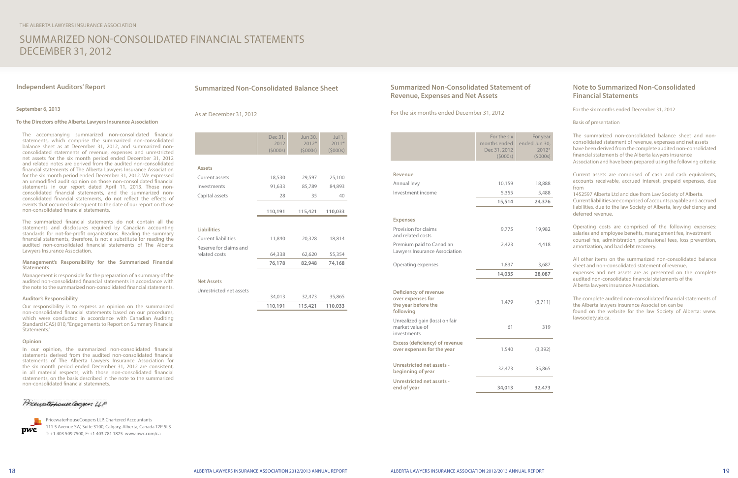# Summarized Non-Consolidated Financial Statements December 31, 2012

The accompanying summarized non-consolidated financial statements, which comprise the summarized non-consolidated balance sheet as at December 31, 2012, and summarized nonconsolidated statements of revenue, expenses and unrestricted net assets for the six month period ended December 31, 2012 and related notes are derived from the audited non-consolidated financial statements of The Alberta Lawyers Insurance Association for the six month period ended December 31, 2012. We expressed an unmodified audit opinion on those non-consolidated financial statements in our report dated April 11, 2013. Those nonconsolidated financial statements, and the summarized nonconsolidated financial statements, do not reflect the effects of events that occurred subsequent to the date of our report on those non-consolidated financial statements.

The summarized financial statements do not contain all the statements and disclosures required by Canadian accounting standards for not-for-profit organizations. Reading the summary financial statements, therefore, is not a substitute for reading the audited non-consolidated financial statements of The Alberta Lawyers Insurance Association.

#### **Management's Responsibility for the Summarized Financial Statements**

Management is responsible for the preparation of a summary of the audited non-consolidated financial statements in accordance with the note to the summarized non-consolidated financial statements.

#### **Auditor's Responsibility**

Our responsibility is to express an opinion on the summarized non-consolidated financial statements based on our procedures, which were conducted in accordance with Canadian Auditing Standard (CAS) 810, "Engagements to Report on Summary Financial Statements."

#### **Opinion**

In our opinion, the summarized non-consolidated financial statements derived from the audited non-consolidated financial statements of The Alberta Lawyers Insurance Association for the six month period ended December 31, 2012 are consistent, in all material respects, with those non-consolidated financial statements, on the basis described in the note to the summarized non-consolidated financial statemnets.

Prienaterhouse (ogen 4P



#### **Independent Auditors' Report**

#### **September 6, 2013**

#### **To the Directors ofthe Alberta Lawyers Insurance Association**

|                            | Dec 31, | Jun 30, | Jul 1,  |
|----------------------------|---------|---------|---------|
|                            | 2012    | $2012*$ | $2011*$ |
|                            | (5000s) | (5000s) | (5000s) |
|                            |         |         |         |
| <b>Assets</b>              |         |         |         |
| Current assets             | 18,530  | 29,597  | 25,100  |
| Investments                | 91,633  | 85,789  | 84,893  |
| Capital assets             | 28      | 35      | 40      |
|                            |         |         |         |
|                            | 110,191 | 115,421 | 110,033 |
|                            |         |         |         |
| <b>Liabilities</b>         |         |         |         |
| <b>Current liabilities</b> | 11,840  | 20,328  | 18,814  |
| Reserve for claims and     |         |         |         |
| related costs              | 64,338  | 62,620  | 55,354  |
|                            | 76,178  | 82,948  | 74,168  |
|                            |         |         |         |
| <b>Net Assets</b>          |         |         |         |
| Unrestricted net assets    |         |         |         |

|       | 110,191 | 115,421 | 110,033 |
|-------|---------|---------|---------|
| ssets | 34,013  | 32,473  | 35,865  |

#### **Summarized Non-Consolidated Balance Sheet**

#### As at December 31, 2012

PricewaterhouseCoopers LLP, Chartered Accountants 111 5 Avenue SW, Suite 3100, Calgary, Alberta, Canada T2P 5L3 T: +1 403 509 7500, F: +1 403 781 1825 www.pwc.com/ca

| <b>Summarized Non-Consolidated Statement of</b><br><b>Revenue, Expenses and Net Assets</b> |                                                        |                                               | <b>Note to Summarized Non-Consolidated</b><br><b>Financial Statements</b>                                                                                                                                                                                                                                         |
|--------------------------------------------------------------------------------------------|--------------------------------------------------------|-----------------------------------------------|-------------------------------------------------------------------------------------------------------------------------------------------------------------------------------------------------------------------------------------------------------------------------------------------------------------------|
| For the six months ended December 31, 2012                                                 |                                                        |                                               | For the six months ended December 31, 2012                                                                                                                                                                                                                                                                        |
|                                                                                            |                                                        |                                               | Basis of presentation                                                                                                                                                                                                                                                                                             |
|                                                                                            | For the six<br>months ended<br>Dec 31, 2012<br>(5000s) | For year<br>ended Jun 30,<br>2012*<br>(5000s) | The summarized non-consolidated balance sheet and non-<br>consolidated statement of revenue, expenses and net assets<br>have been derived from the complete audited non-consolidated<br>financial statements of the Alberta lawyers insurance<br>Association and have been prepared using the following criteria: |
| Revenue<br>Annual levy                                                                     | 10,159                                                 | 18,888                                        | Current assets are comprised of cash and cash equivalents,<br>accounts receivable, accrued interest, prepaid expenses, due<br>from                                                                                                                                                                                |
| Investment income                                                                          | 5,355<br>15,514                                        | 5,488<br>24,376                               | 1452597 Alberta Ltd and due from Law Society of Alberta.<br>Current liabilities are comprised of accounts payable and accrued<br>liabilities, due to the law Society of Alberta, levy deficiency and                                                                                                              |
| <b>Expenses</b>                                                                            |                                                        |                                               | deferred revenue.                                                                                                                                                                                                                                                                                                 |
| Provision for claims<br>and related costs                                                  | 9,775                                                  | 19,982                                        | Operating costs are comprised of the following expenses:<br>salaries and employee benefits, management fee, investment<br>counsel fee, administration, professional fees, loss prevention,                                                                                                                        |
| Premium paid to Canadian<br>Lawyers Insurance Association                                  | 2,423                                                  | 4,418                                         | amortization, and bad debt recovery.                                                                                                                                                                                                                                                                              |
| Operating expenses                                                                         | 1,837                                                  | 3,687                                         | All other items on the summarized non-consolidated balance<br>sheet and non-consolidated statement of revenue.                                                                                                                                                                                                    |
|                                                                                            | 14,035                                                 | 28,087                                        | expenses and net assets are as presented on the complete<br>audited non-consolidated financial statements of the                                                                                                                                                                                                  |
| Deficiency of revenue<br>over expenses for<br>the year before the<br>following             | 1,479                                                  | (3,711)                                       | Alberta lawyers insurance Association.<br>The complete audited non-consolidated financial statements of<br>the Alberta lawyers insurance Association can be<br>found on the website for the law Society of Alberta: www.<br>lawsociety.ab.ca.                                                                     |
| Unrealized gain (loss) on fair<br>market value of<br>investments                           | 61                                                     | 319                                           |                                                                                                                                                                                                                                                                                                                   |
| <b>Excess (deficiency) of revenue</b><br>over expenses for the year                        | 1,540                                                  | (3, 392)                                      |                                                                                                                                                                                                                                                                                                                   |
| Unrestricted net assets -<br>beginning of year                                             | 32,473                                                 | 35,865                                        |                                                                                                                                                                                                                                                                                                                   |
| <b>Unrestricted net assets -</b><br>end of year                                            | 34,013                                                 | 32,473                                        |                                                                                                                                                                                                                                                                                                                   |